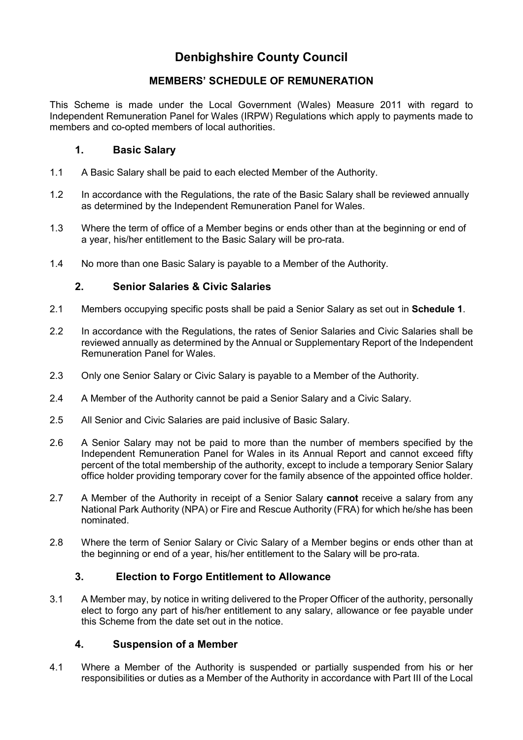# **Denbighshire County Council**

# **MEMBERS' SCHEDULE OF REMUNERATION**

This Scheme is made under the Local Government (Wales) Measure 2011 with regard to Independent Remuneration Panel for Wales (IRPW) Regulations which apply to payments made to members and co-opted members of local authorities.

## **1. Basic Salary**

- 1.1 A Basic Salary shall be paid to each elected Member of the Authority.
- 1.2 In accordance with the Regulations, the rate of the Basic Salary shall be reviewed annually as determined by the Independent Remuneration Panel for Wales.
- 1.3 Where the term of office of a Member begins or ends other than at the beginning or end of a year, his/her entitlement to the Basic Salary will be pro-rata.
- 1.4 No more than one Basic Salary is payable to a Member of the Authority.

# **2. Senior Salaries & Civic Salaries**

- 2.1 Members occupying specific posts shall be paid a Senior Salary as set out in **Schedule 1**.
- 2.2 In accordance with the Regulations, the rates of Senior Salaries and Civic Salaries shall be reviewed annually as determined by the Annual or Supplementary Report of the Independent Remuneration Panel for Wales.
- 2.3 Only one Senior Salary or Civic Salary is payable to a Member of the Authority.
- 2.4 A Member of the Authority cannot be paid a Senior Salary and a Civic Salary.
- 2.5 All Senior and Civic Salaries are paid inclusive of Basic Salary.
- 2.6 A Senior Salary may not be paid to more than the number of members specified by the Independent Remuneration Panel for Wales in its Annual Report and cannot exceed fifty percent of the total membership of the authority, except to include a temporary Senior Salary office holder providing temporary cover for the family absence of the appointed office holder.
- 2.7 A Member of the Authority in receipt of a Senior Salary **cannot** receive a salary from any National Park Authority (NPA) or Fire and Rescue Authority (FRA) for which he/she has been nominated.
- 2.8 Where the term of Senior Salary or Civic Salary of a Member begins or ends other than at the beginning or end of a year, his/her entitlement to the Salary will be pro-rata.

# **3. Election to Forgo Entitlement to Allowance**

3.1 A Member may, by notice in writing delivered to the Proper Officer of the authority, personally elect to forgo any part of his/her entitlement to any salary, allowance or fee payable under this Scheme from the date set out in the notice.

### **4. Suspension of a Member**

4.1 Where a Member of the Authority is suspended or partially suspended from his or her responsibilities or duties as a Member of the Authority in accordance with Part III of the Local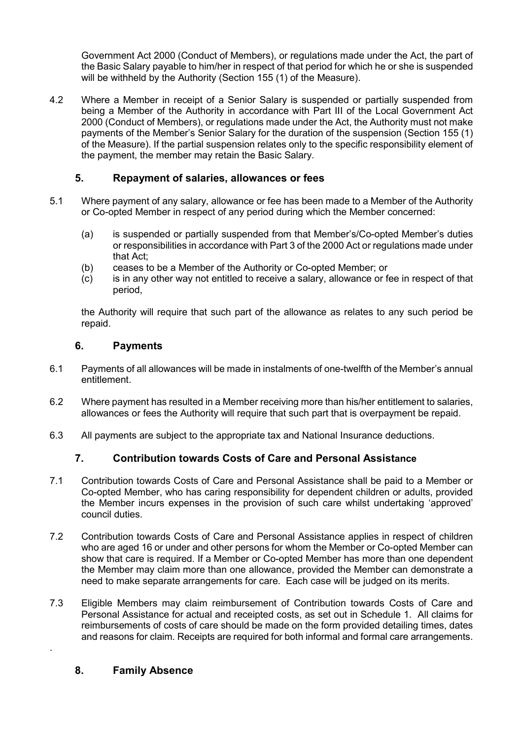Government Act 2000 (Conduct of Members), or regulations made under the Act, the part of the Basic Salary payable to him/her in respect of that period for which he or she is suspended will be withheld by the Authority (Section 155 (1) of the Measure).

4.2 Where a Member in receipt of a Senior Salary is suspended or partially suspended from being a Member of the Authority in accordance with Part III of the Local Government Act 2000 (Conduct of Members), or regulations made under the Act, the Authority must not make payments of the Member's Senior Salary for the duration of the suspension (Section 155 (1) of the Measure). If the partial suspension relates only to the specific responsibility element of the payment, the member may retain the Basic Salary.

# **5. Repayment of salaries, allowances or fees**

- 5.1 Where payment of any salary, allowance or fee has been made to a Member of the Authority or Co-opted Member in respect of any period during which the Member concerned:
	- (a) is suspended or partially suspended from that Member's/Co-opted Member's duties or responsibilities in accordance with Part 3 of the 2000 Act or regulations made under that Act;
	- (b) ceases to be a Member of the Authority or Co-opted Member; or
	- (c) is in any other way not entitled to receive a salary, allowance or fee in respect of that period,

the Authority will require that such part of the allowance as relates to any such period be repaid.

#### **6. Payments**

- 6.1 Payments of all allowances will be made in instalments of one-twelfth of the Member's annual entitlement.
- 6.2 Where payment has resulted in a Member receiving more than his/her entitlement to salaries, allowances or fees the Authority will require that such part that is overpayment be repaid.
- 6.3 All payments are subject to the appropriate tax and National Insurance deductions.

### **7. Contribution towards Costs of Care and Personal Assistance**

- 7.1 Contribution towards Costs of Care and Personal Assistance shall be paid to a Member or Co-opted Member, who has caring responsibility for dependent children or adults, provided the Member incurs expenses in the provision of such care whilst undertaking 'approved' council duties.
- 7.2 Contribution towards Costs of Care and Personal Assistance applies in respect of children who are aged 16 or under and other persons for whom the Member or Co-opted Member can show that care is required. If a Member or Co-opted Member has more than one dependent the Member may claim more than one allowance, provided the Member can demonstrate a need to make separate arrangements for care. Each case will be judged on its merits.
- 7.3 Eligible Members may claim reimbursement of Contribution towards Costs of Care and Personal Assistance for actual and receipted costs, as set out in Schedule 1. All claims for reimbursements of costs of care should be made on the form provided detailing times, dates and reasons for claim. Receipts are required for both informal and formal care arrangements.

### **8. Family Absence**

.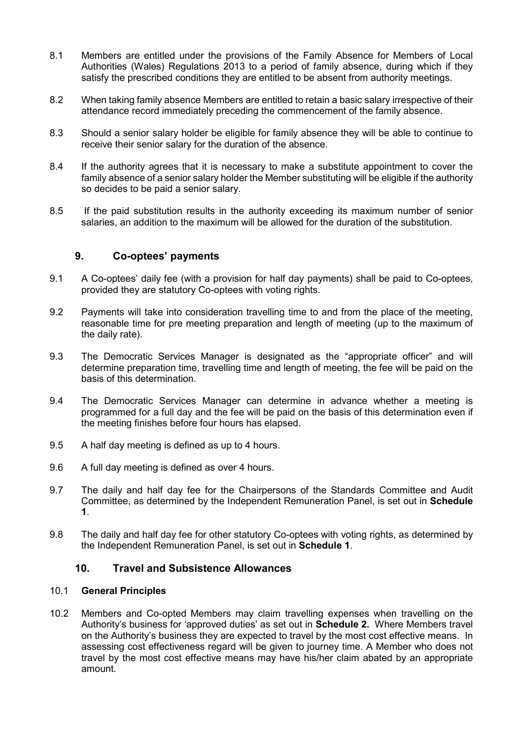- 8.1 Members are entitled under the provisions of the Family Absence for Members of Local Authorities (Wales) Regulations 2013 to a period of family absence, during which if they satisfy the prescribed conditions they are entitled to be absent from authority meetings.
- 8.2 When taking family absence Members are entitled to retain a basic salary irrespective of their attendance record immediately preceding the commencement of the family absence.
- 8.3 Should a senior salary holder be eligible for family absence they will be able to continue to receive their senior salary for the duration of the absence.
- 8.4 If the authority agrees that it is necessary to make a substitute appointment to cover the family absence of a senior salary holder the Member substituting will be eligible if the authority so decides to be paid a senior salary.
- 8.5 If the paid substitution results in the authority exceeding its maximum number of senior salaries, an addition to the maximum will be allowed for the duration of the substitution.

#### **9. Co-optees' payments**

- 9.1 A Co-optees' daily fee (with a provision for half day payments) shall be paid to Co-optees, provided they are statutory Co-optees with voting rights.
- 9.2 Payments will take into consideration travelling time to and from the place of the meeting, reasonable time for pre meeting preparation and length of meeting (up to the maximum of the daily rate).
- 9.3 The Democratic Services Manager is designated as the "appropriate officer" and will determine preparation time, travelling time and length of meeting, the fee will be paid on the basis of this determination.
- 9.4 The Democratic Services Manager can determine in advance whether a meeting is programmed for a full day and the fee will be paid on the basis of this determination even if the meeting finishes before four hours has elapsed.
- 9.5 A half day meeting is defined as up to 4 hours.
- 9.6 A full day meeting is defined as over 4 hours.
- 9.7 The daily and half day fee for the Chairpersons of the Standards Committee and Audit Committee, as determined by the Independent Remuneration Panel, is set out in **Schedule 1**.
- 9.8 The daily and half day fee for other statutory Co-optees with voting rights, as determined by the Independent Remuneration Panel, is set out in **Schedule 1**.

## **10. Travel and Subsistence Allowances**

#### 10.1 **General Principles**

10.2 Members and Co-opted Members may claim travelling expenses when travelling on the Authority's business for 'approved duties' as set out in **Schedule 2.** Where Members travel on the Authority's business they are expected to travel by the most cost effective means. In assessing cost effectiveness regard will be given to journey time. A Member who does not travel by the most cost effective means may have his/her claim abated by an appropriate amount.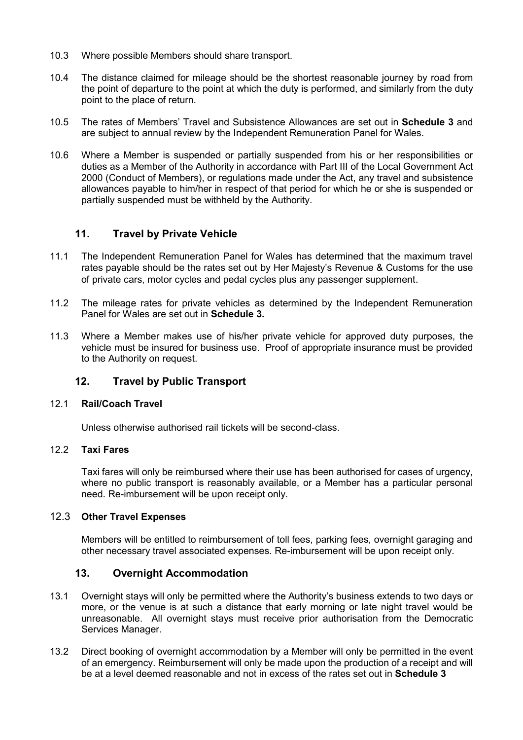- 10.3 Where possible Members should share transport.
- 10.4 The distance claimed for mileage should be the shortest reasonable journey by road from the point of departure to the point at which the duty is performed, and similarly from the duty point to the place of return.
- 10.5 The rates of Members' Travel and Subsistence Allowances are set out in **Schedule 3** and are subject to annual review by the Independent Remuneration Panel for Wales.
- 10.6 Where a Member is suspended or partially suspended from his or her responsibilities or duties as a Member of the Authority in accordance with Part III of the Local Government Act 2000 (Conduct of Members), or regulations made under the Act, any travel and subsistence allowances payable to him/her in respect of that period for which he or she is suspended or partially suspended must be withheld by the Authority.

### **11. Travel by Private Vehicle**

- 11.1 The Independent Remuneration Panel for Wales has determined that the maximum travel rates payable should be the rates set out by Her Majesty's Revenue & Customs for the use of private cars, motor cycles and pedal cycles plus any passenger supplement.
- 11.2 The mileage rates for private vehicles as determined by the Independent Remuneration Panel for Wales are set out in **Schedule 3.**
- 11.3 Where a Member makes use of his/her private vehicle for approved duty purposes, the vehicle must be insured for business use. Proof of appropriate insurance must be provided to the Authority on request.

## **12. Travel by Public Transport**

#### 12.1 **Rail/Coach Travel**

Unless otherwise authorised rail tickets will be second-class.

## 12.2 **Taxi Fares**

Taxi fares will only be reimbursed where their use has been authorised for cases of urgency, where no public transport is reasonably available, or a Member has a particular personal need. Re-imbursement will be upon receipt only.

#### 12.3 **Other Travel Expenses**

Members will be entitled to reimbursement of toll fees, parking fees, overnight garaging and other necessary travel associated expenses. Re-imbursement will be upon receipt only.

#### **13. Overnight Accommodation**

- 13.1 Overnight stays will only be permitted where the Authority's business extends to two days or more, or the venue is at such a distance that early morning or late night travel would be unreasonable. All overnight stays must receive prior authorisation from the Democratic Services Manager.
- 13.2 Direct booking of overnight accommodation by a Member will only be permitted in the event of an emergency. Reimbursement will only be made upon the production of a receipt and will be at a level deemed reasonable and not in excess of the rates set out in **Schedule 3**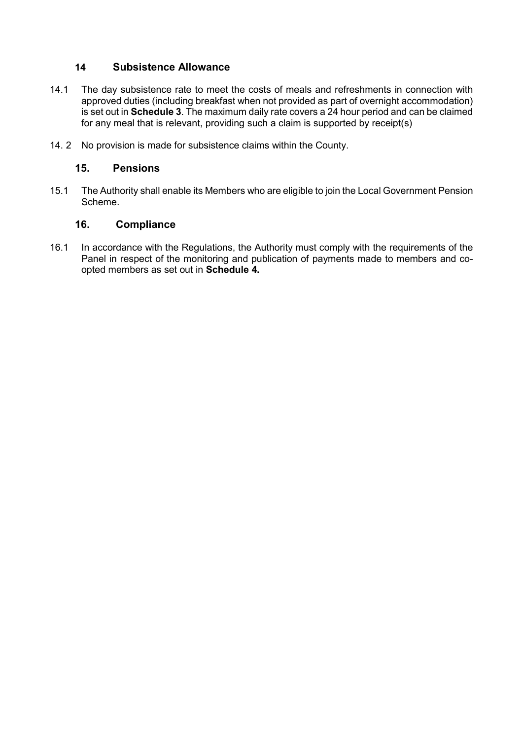### **14 Subsistence Allowance**

- 14.1 The day subsistence rate to meet the costs of meals and refreshments in connection with approved duties (including breakfast when not provided as part of overnight accommodation) is set out in **Schedule 3**. The maximum daily rate covers a 24 hour period and can be claimed for any meal that is relevant, providing such a claim is supported by receipt(s)
- 14. 2 No provision is made for subsistence claims within the County.

#### **15. Pensions**

15.1 The Authority shall enable its Members who are eligible to join the Local Government Pension Scheme.

#### **16. Compliance**

16.1 In accordance with the Regulations, the Authority must comply with the requirements of the Panel in respect of the monitoring and publication of payments made to members and coopted members as set out in **Schedule 4.**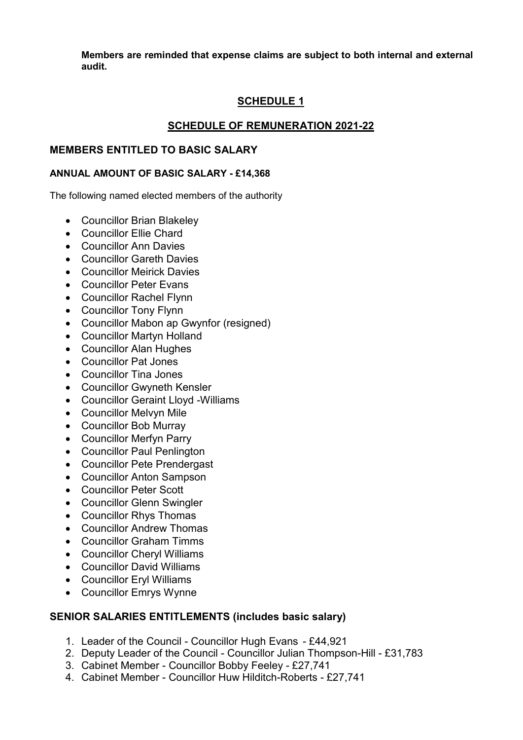**Members are reminded that expense claims are subject to both internal and external audit.**

# **SCHEDULE 1**

# **SCHEDULE OF REMUNERATION 2021-22**

### **MEMBERS ENTITLED TO BASIC SALARY**

#### **ANNUAL AMOUNT OF BASIC SALARY - £14,368**

The following named elected members of the authority

- Councillor Brian Blakeley
- Councillor Ellie Chard
- Councillor Ann Davies
- Councillor Gareth Davies
- Councillor Meirick Davies
- Councillor Peter Evans
- Councillor Rachel Flynn
- Councillor Tony Flynn
- Councillor Mabon ap Gwynfor (resigned)
- Councillor Martyn Holland
- Councillor Alan Hughes
- Councillor Pat Jones
- Councillor Tina Jones
- Councillor Gwyneth Kensler
- Councillor Geraint Lloyd -Williams
- Councillor Melvyn Mile
- Councillor Bob Murray
- Councillor Merfyn Parry
- Councillor Paul Penlington
- Councillor Pete Prendergast
- Councillor Anton Sampson
- Councillor Peter Scott
- Councillor Glenn Swingler
- Councillor Rhys Thomas
- Councillor Andrew Thomas
- Councillor Graham Timms
- Councillor Cheryl Williams
- Councillor David Williams
- Councillor Eryl Williams
- Councillor Emrys Wynne

### **SENIOR SALARIES ENTITLEMENTS (includes basic salary)**

- 1. Leader of the Council Councillor Hugh Evans £44,921
- 2. Deputy Leader of the Council Councillor Julian Thompson-Hill £31,783
- 3. Cabinet Member Councillor Bobby Feeley £27,741
- 4. Cabinet Member Councillor Huw Hilditch-Roberts £27,741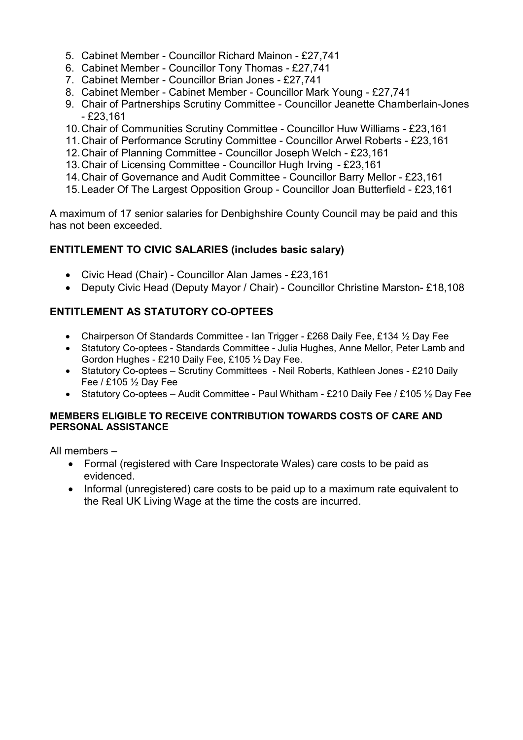- 5. Cabinet Member Councillor Richard Mainon £27,741
- 6. Cabinet Member Councillor Tony Thomas £27,741
- 7. Cabinet Member Councillor Brian Jones £27,741
- 8. Cabinet Member Cabinet Member Councillor Mark Young £27,741
- 9. Chair of Partnerships Scrutiny Committee Councillor Jeanette Chamberlain-Jones  $-$  £23,161
- 10.Chair of Communities Scrutiny Committee Councillor Huw Williams £23,161
- 11.Chair of Performance Scrutiny Committee Councillor Arwel Roberts £23,161
- 12.Chair of Planning Committee Councillor Joseph Welch £23,161
- 13.Chair of Licensing Committee Councillor Hugh Irving £23,161
- 14.Chair of Governance and Audit Committee Councillor Barry Mellor £23,161
- 15.Leader Of The Largest Opposition Group Councillor Joan Butterfield £23,161

A maximum of 17 senior salaries for Denbighshire County Council may be paid and this has not been exceeded.

# **ENTITLEMENT TO CIVIC SALARIES (includes basic salary)**

- Civic Head (Chair) Councillor Alan James £23,161
- Deputy Civic Head (Deputy Mayor / Chair) Councillor Christine Marston- £18,108

# **ENTITLEMENT AS STATUTORY CO-OPTEES**

- Chairperson Of Standards Committee Ian Trigger £268 Daily Fee, £134 ½ Day Fee
- Statutory Co-optees Standards Committee Julia Hughes, Anne Mellor, Peter Lamb and Gordon Hughes - £210 Daily Fee, £105 ½ Day Fee.
- Statutory Co-optees Scrutiny Committees Neil Roberts, Kathleen Jones £210 Daily Fee / £105 ½ Day Fee
- Statutory Co-optees Audit Committee Paul Whitham £210 Daily Fee / £105  $\frac{1}{2}$  Day Fee

#### **MEMBERS ELIGIBLE TO RECEIVE CONTRIBUTION TOWARDS COSTS OF CARE AND PERSONAL ASSISTANCE**

All members –

- Formal (registered with Care Inspectorate Wales) care costs to be paid as evidenced.
- Informal (unregistered) care costs to be paid up to a maximum rate equivalent to the Real UK Living Wage at the time the costs are incurred.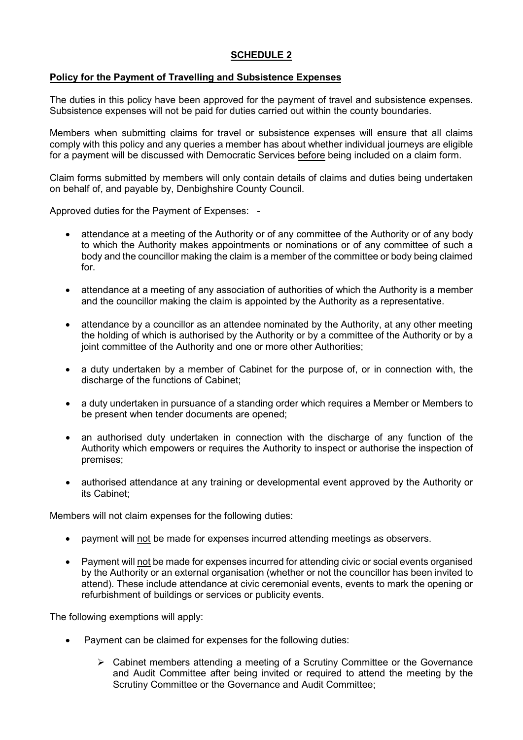# **SCHEDULE 2**

#### **Policy for the Payment of Travelling and Subsistence Expenses**

The duties in this policy have been approved for the payment of travel and subsistence expenses. Subsistence expenses will not be paid for duties carried out within the county boundaries.

Members when submitting claims for travel or subsistence expenses will ensure that all claims comply with this policy and any queries a member has about whether individual journeys are eligible for a payment will be discussed with Democratic Services before being included on a claim form.

Claim forms submitted by members will only contain details of claims and duties being undertaken on behalf of, and payable by, Denbighshire County Council.

Approved duties for the Payment of Expenses: -

- attendance at a meeting of the Authority or of any committee of the Authority or of any body to which the Authority makes appointments or nominations or of any committee of such a body and the councillor making the claim is a member of the committee or body being claimed for.
- attendance at a meeting of any association of authorities of which the Authority is a member and the councillor making the claim is appointed by the Authority as a representative.
- attendance by a councillor as an attendee nominated by the Authority, at any other meeting the holding of which is authorised by the Authority or by a committee of the Authority or by a joint committee of the Authority and one or more other Authorities;
- a duty undertaken by a member of Cabinet for the purpose of, or in connection with, the discharge of the functions of Cabinet;
- a duty undertaken in pursuance of a standing order which requires a Member or Members to be present when tender documents are opened;
- an authorised duty undertaken in connection with the discharge of any function of the Authority which empowers or requires the Authority to inspect or authorise the inspection of premises;
- authorised attendance at any training or developmental event approved by the Authority or its Cabinet;

Members will not claim expenses for the following duties:

- payment will not be made for expenses incurred attending meetings as observers.
- Payment will not be made for expenses incurred for attending civic or social events organised by the Authority or an external organisation (whether or not the councillor has been invited to attend). These include attendance at civic ceremonial events, events to mark the opening or refurbishment of buildings or services or publicity events.

The following exemptions will apply:

- Payment can be claimed for expenses for the following duties:
	- $\triangleright$  Cabinet members attending a meeting of a Scrutiny Committee or the Governance and Audit Committee after being invited or required to attend the meeting by the Scrutiny Committee or the Governance and Audit Committee;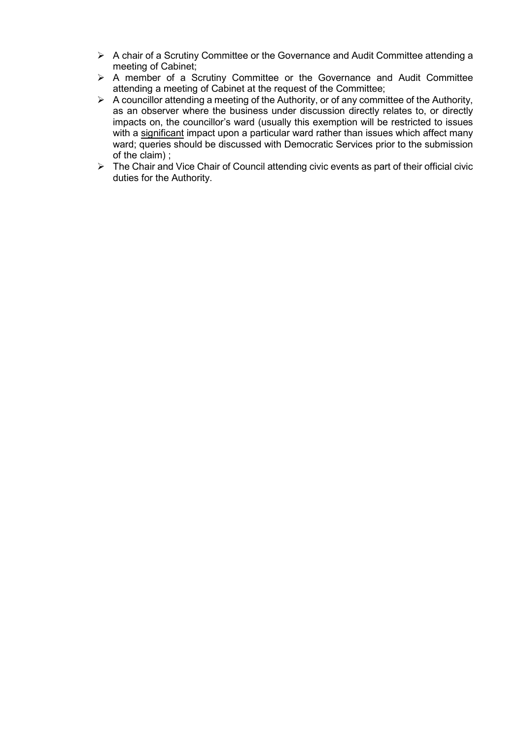- A chair of a Scrutiny Committee or the Governance and Audit Committee attending a meeting of Cabinet;
- A member of a Scrutiny Committee or the Governance and Audit Committee attending a meeting of Cabinet at the request of the Committee;
- $\triangleright$  A councillor attending a meeting of the Authority, or of any committee of the Authority, as an observer where the business under discussion directly relates to, or directly impacts on, the councillor's ward (usually this exemption will be restricted to issues with a significant impact upon a particular ward rather than issues which affect many ward; queries should be discussed with Democratic Services prior to the submission of the claim) ;
- The Chair and Vice Chair of Council attending civic events as part of their official civic duties for the Authority.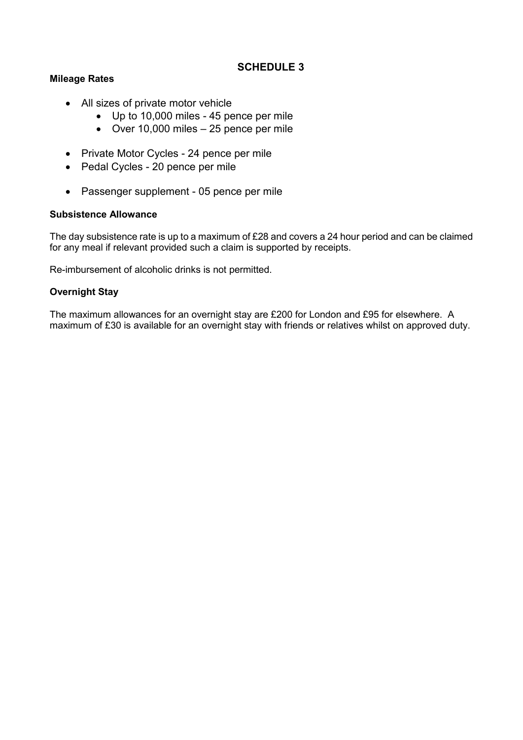# **SCHEDULE 3**

#### **Mileage Rates**

- All sizes of private motor vehicle
	- Up to 10,000 miles 45 pence per mile
	- Over 10,000 miles 25 pence per mile
- Private Motor Cycles 24 pence per mile
- Pedal Cycles 20 pence per mile
- Passenger supplement 05 pence per mile

#### **Subsistence Allowance**

The day subsistence rate is up to a maximum of £28 and covers a 24 hour period and can be claimed for any meal if relevant provided such a claim is supported by receipts.

Re-imbursement of alcoholic drinks is not permitted.

#### **Overnight Stay**

The maximum allowances for an overnight stay are £200 for London and £95 for elsewhere. A maximum of £30 is available for an overnight stay with friends or relatives whilst on approved duty.